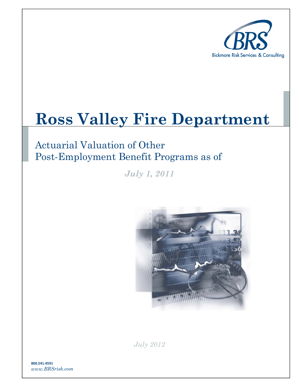

# **Ross Valley Fire Department**

## Actuarial Valuation of Other Post-Employment Benefit Programs as of

*July 1, 2011* 



*July 2012* 

**800.541.4591** *www.BRSrisk.com*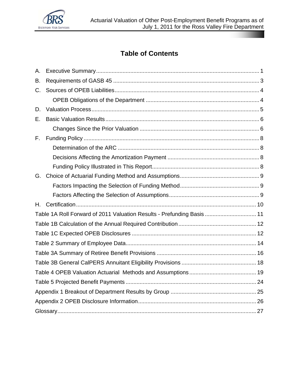

### **Table of Contents**

| А. |                                                                        |  |
|----|------------------------------------------------------------------------|--|
| В. |                                                                        |  |
| C. |                                                                        |  |
|    |                                                                        |  |
| D. |                                                                        |  |
| Е. |                                                                        |  |
|    |                                                                        |  |
| F. |                                                                        |  |
|    |                                                                        |  |
|    |                                                                        |  |
|    |                                                                        |  |
| G. |                                                                        |  |
|    |                                                                        |  |
|    |                                                                        |  |
| Н. |                                                                        |  |
|    | Table 1A Roll Forward of 2011 Valuation Results - Prefunding Basis  11 |  |
|    |                                                                        |  |
|    |                                                                        |  |
|    |                                                                        |  |
|    |                                                                        |  |
|    |                                                                        |  |
|    |                                                                        |  |
|    |                                                                        |  |
|    |                                                                        |  |
|    |                                                                        |  |
|    |                                                                        |  |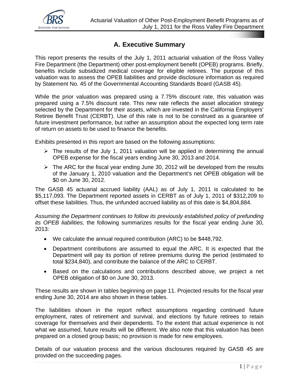

#### **A. Executive Summary**

This report presents the results of the July 1, 2011 actuarial valuation of the Ross Valley Fire Department (the Department) other post-employment benefit (OPEB) programs. Briefly, benefits include subsidized medical coverage for eligible retirees. The purpose of this valuation was to assess the OPEB liabilities and provide disclosure information as required by Statement No. 45 of the Governmental Accounting Standards Board (GASB 45).

While the prior valuation was prepared using a 7.75% discount rate, this valuation was prepared using a 7.5% discount rate. This new rate reflects the asset allocation strategy selected by the Department for their assets, which are invested in the California Employers' Retiree Benefit Trust (CERBT). Use of this rate is not to be construed as a guarantee of future investment performance, but rather an assumption about the expected long term rate of return on assets to be used to finance the benefits.

Exhibits presented in this report are based on the following assumptions:

- $\triangleright$  The results of the July 1, 2011 valuation will be applied in determining the annual OPEB expense for the fiscal years ending June 30, 2013 and 2014.
- $\triangleright$  The ARC for the fiscal year ending June 30, 2012 will be developed from the results of the January 1, 2010 valuation and the Department's net OPEB obligation will be \$0 on June 30, 2012.

The GASB 45 actuarial accrued liability (AAL) as of July 1, 2011 is calculated to be \$5,117,093. The Department reported assets in CERBT as of July 1, 2011 of \$312,209 to offset these liabilities. Thus, the unfunded accrued liability as of this date is \$4,804,884.

*Assuming the Department continues to follow its previously established policy of prefunding its OPEB liabilities,* the following summarizes results for the fiscal year ending June 30, 2013:

- We calculate the annual required contribution (ARC) to be \$448,792.
- Department contributions are assumed to equal the ARC. It is expected that the Department will pay its portion of retiree premiums during the period (estimated to total \$234,840), and contribute the balance of the ARC to CERBT.
- Based on the calculations and contributions described above, we project a net OPEB obligation of \$0 on June 30, 2013.

These results are shown in tables beginning on page 11. Projected results for the fiscal year ending June 30, 2014 are also shown in these tables.

The liabilities shown in the report reflect assumptions regarding continued future employment, rates of retirement and survival, and elections by future retirees to retain coverage for themselves and their dependents. To the extent that actual experience is not what we assumed, future results will be different. We also note that this valuation has been prepared on a closed group basis; no provision is made for new employees.

Details of our valuation process and the various disclosures required by GASB 45 are provided on the succeeding pages.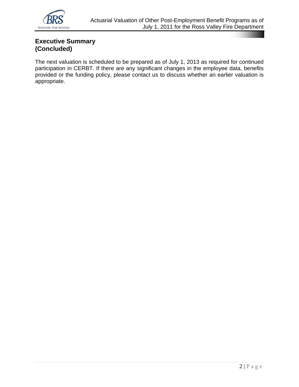

#### **Executive Summary (Concluded)**

The next valuation is scheduled to be prepared as of July 1, 2013 as required for continued participation in CERBT. If there are any significant changes in the employee data, benefits provided or the funding policy, please contact us to discuss whether an earlier valuation is appropriate.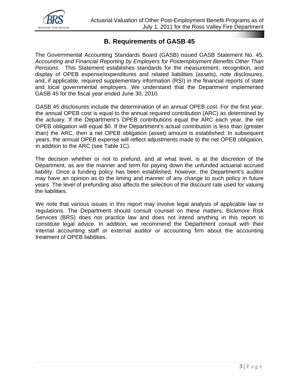

#### **B. Requirements of GASB 45**

The Governmental Accounting Standards Board (GASB) issued GASB Statement No. 45, *Accounting and Financial Reporting by Employers for Postemployment Benefits Other Than Pensions*. This Statement establishes standards for the measurement, recognition, and display of OPEB expense/expenditures and related liabilities (assets), note disclosures, and, if applicable, required supplementary information (RSI) in the financial reports of state and local governmental employers. We understand that the Department implemented GASB 45 for the fiscal year ended June 30, 2010.

GASB 45 disclosures include the determination of an annual OPEB cost. For the first year, the annual OPEB cost is equal to the annual required contribution (ARC) as determined by the actuary. If the Department's OPEB contributions equal the ARC each year, the net OPEB obligation will equal \$0. If the Department's actual contribution is less than (greater than) the ARC, then a net OPEB obligation (asset) amount is established. In subsequent years, the annual OPEB expense will reflect adjustments made to the net OPEB obligation, in addition to the ARC (see Table 1C).

The decision whether or not to prefund, and at what level, is at the discretion of the Department, as are the manner and term for paying down the unfunded actuarial accrued liability. Once a funding policy has been established, however, the Department's auditor may have an opinion as to the timing and manner of any change to such policy in future years. The level of prefunding also affects the selection of the discount rate used for valuing the liabilities.

We note that various issues in this report may involve legal analysis of applicable law or regulations. The Department should consult counsel on these matters; Bickmore Risk Services (BRS) does not practice law and does not intend anything in this report to constitute legal advice. In addition, we recommend the Department consult with their internal accounting staff or external auditor or accounting firm about the accounting treatment of OPEB liabilities.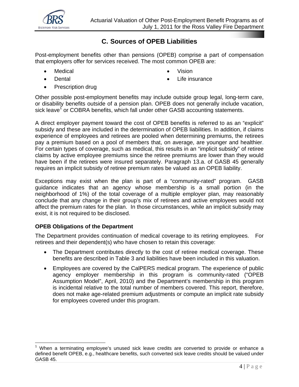

#### **C. Sources of OPEB Liabilities**

Post-employment benefits other than pensions (OPEB) comprise a part of compensation that employers offer for services received. The most common OPEB are:

- Medical
- Dental
- Prescription drug
- Vision
- Life insurance

Other possible post-employment benefits may include outside group legal, long-term care, or disability benefits outside of a pension plan. OPEB does not generally include vacation, sick leave<sup>1</sup> or COBRA benefits, which fall under other GASB accounting statements.

A direct employer payment toward the cost of OPEB benefits is referred to as an "explicit" subsidy and these are included in the determination of OPEB liabilities. In addition, if claims experience of employees and retirees are pooled when determining premiums, the retirees pay a premium based on a pool of members that, on average, are younger and healthier. For certain types of coverage, such as medical, this results in an "implicit subsidy" of retiree claims by active employee premiums since the retiree premiums are lower than they would have been if the retirees were insured separately. Paragraph 13.a. of GASB 45 generally requires an implicit subsidy of retiree premium rates be valued as an OPEB liability.

Exceptions may exist when the plan is part of a "community-rated" program. GASB guidance indicates that an agency whose membership is a small portion (in the neighborhood of 1%) of the total coverage of a multiple employer plan, may reasonably conclude that any change in their group's mix of retirees and active employees would not affect the premium rates for the plan. In those circumstances, while an implicit subsidy may exist, it is not required to be disclosed.

#### **OPEB Obligations of the Department**

 $\overline{a}$ 

The Department provides continuation of medical coverage to its retiring employees. For retirees and their dependent(s) who have chosen to retain this coverage:

- The Department contributes directly to the cost of retiree medical coverage. These benefits are described in Table 3 and liabilities have been included in this valuation.
- Employees are covered by the CalPERS medical program. The experience of public agency employer membership in this program is community-rated ("OPEB Assumption Model", April, 2010) and the Department's membership in this program is incidental relative to the total number of members covered. This report, therefore, does not make age-related premium adjustments or compute an implicit rate subsidy for employees covered under this program.

<sup>1</sup> When a terminating employee's unused sick leave credits are converted to provide or enhance a defined benefit OPEB, e.g., healthcare benefits, such converted sick leave credits should be valued under GASB 45.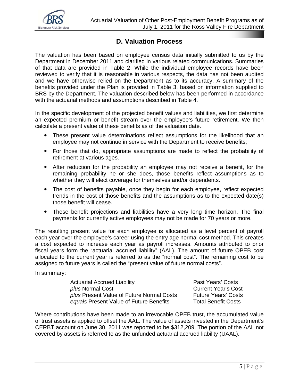

#### **D. Valuation Process**

The valuation has been based on employee census data initially submitted to us by the Department in December 2011 and clarified in various related communications. Summaries of that data are provided in Table 2. While the individual employee records have been reviewed to verify that it is reasonable in various respects, the data has not been audited and we have otherwise relied on the Department as to its accuracy. A summary of the benefits provided under the Plan is provided in Table 3, based on information supplied to BRS by the Department. The valuation described below has been performed in accordance with the actuarial methods and assumptions described in Table 4.

In the specific development of the projected benefit values and liabilities, we first determine an expected premium or benefit stream over the employee's future retirement. We then calculate a present value of these benefits as of the valuation date.

- These present value determinations reflect assumptions for the likelihood that an employee may not continue in service with the Department to receive benefits;
- For those that do, appropriate assumptions are made to reflect the probability of retirement at various ages.
- After reduction for the probability an employee may not receive a benefit, for the remaining probability he or she does, those benefits reflect assumptions as to whether they will elect coverage for themselves and/or dependents.
- The cost of benefits payable, once they begin for each employee, reflect expected trends in the cost of those benefits and the assumptions as to the expected date(s) those benefit will cease.
- These benefit projections and liabilities have a very long time horizon. The final payments for currently active employees may not be made for 70 years or more.

The resulting present value for each employee is allocated as a level percent of payroll each year over the employee's career using the entry age normal cost method. This creates a cost expected to increase each year as payroll increases. Amounts attributed to prior fiscal years form the "actuarial accrued liability" (AAL). The amount of future OPEB cost allocated to the current year is referred to as the "normal cost". The remaining cost to be assigned to future years is called the "present value of future normal costs".

In summary:

Actuarial Accrued Liability **Past Years' Costs** *plus* Normal Cost Current Year's Cost *plus* Present Value of Future Normal Costs Future Years' Costs *equals* Present Value of Future Benefits Total Benefit Costs

Where contributions have been made to an irrevocable OPEB trust, the accumulated value of trust assets is applied to offset the AAL. The value of assets invested in the Department's CERBT account on June 30, 2011 was reported to be \$312,209. The portion of the AAL not covered by assets is referred to as the unfunded actuarial accrued liability (UAAL).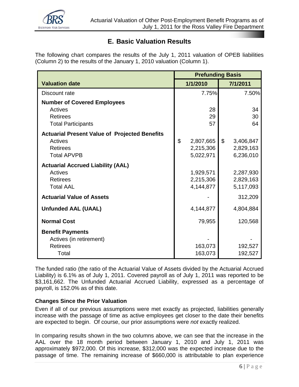

#### **E. Basic Valuation Results**

The following chart compares the results of the July 1, 2011 valuation of OPEB liabilities (Column 2) to the results of the January 1, 2010 valuation (Column 1).

|                                                      | <b>Prefunding Basis</b> |           |    |           |
|------------------------------------------------------|-------------------------|-----------|----|-----------|
| <b>Valuation date</b>                                |                         | 1/1/2010  |    | 7/1/2011  |
| Discount rate                                        |                         | 7.75%     |    | 7.50%     |
| <b>Number of Covered Employees</b>                   |                         |           |    |           |
| <b>Actives</b>                                       |                         | 28        |    | 34        |
| <b>Retirees</b>                                      |                         | 29        |    | 30        |
| <b>Total Participants</b>                            |                         | 57        |    | 64        |
| <b>Actuarial Present Value of Projected Benefits</b> |                         |           |    |           |
| <b>Actives</b>                                       | \$                      | 2,807,665 | \$ | 3,406,847 |
| <b>Retirees</b>                                      |                         | 2,215,306 |    | 2,829,163 |
| <b>Total APVPB</b>                                   |                         | 5,022,971 |    | 6,236,010 |
| <b>Actuarial Accrued Liability (AAL)</b>             |                         |           |    |           |
| <b>Actives</b>                                       |                         | 1,929,571 |    | 2,287,930 |
| <b>Retirees</b>                                      |                         | 2,215,306 |    | 2,829,163 |
| <b>Total AAL</b>                                     |                         | 4,144,877 |    | 5,117,093 |
| <b>Actuarial Value of Assets</b>                     |                         |           |    | 312,209   |
| <b>Unfunded AAL (UAAL)</b>                           |                         | 4,144,877 |    | 4,804,884 |
| <b>Normal Cost</b>                                   |                         | 79,955    |    | 120,568   |
| <b>Benefit Payments</b>                              |                         |           |    |           |
| Actives (in retirement)                              |                         |           |    |           |
| <b>Retirees</b>                                      |                         | 163,073   |    | 192,527   |
| Total                                                |                         | 163,073   |    | 192,527   |

The funded ratio (the ratio of the Actuarial Value of Assets divided by the Actuarial Accrued Liability) is 6.1% as of July 1, 2011. Covered payroll as of July 1, 2011 was reported to be \$3,161,662. The Unfunded Actuarial Accrued Liability, expressed as a percentage of payroll, is 152.0% as of this date.

#### **Changes Since the Prior Valuation**

Even if all of our previous assumptions were met exactly as projected, liabilities generally increase with the passage of time as active employees get closer to the date their benefits are expected to begin. Of course, our prior assumptions were *not* exactly realized.

In comparing results shown in the two columns above, we can see that the increase in the AAL over the 18 month period between January 1, 2010 and July 1, 2011 was approximately \$972,000. Of this increase, \$312,000 was the expected increase due to the passage of time. The remaining increase of \$660,000 is attributable to plan experience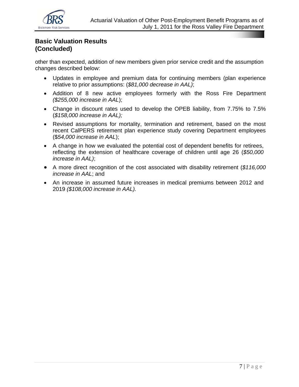

#### **Basic Valuation Results (Concluded)**

other than expected, addition of new members given prior service credit and the assumption changes described below:

- Updates in employee and premium data for continuing members (plan experience relative to prior assumptions: (*\$81,000 decrease in AAL)*;
- Addition of 8 new active employees formerly with the Ross Fire Department *(\$255,000 increase in AAL*);
- Change in discount rates used to develop the OPEB liability, from 7.75% to 7.5% (*\$158,000 increase in AAL);*
- Revised assumptions for mortality, termination and retirement, based on the most recent CalPERS retirement plan experience study covering Department employees (\$*54,000 increase in AAL*);
- A change in how we evaluated the potential cost of dependent benefits for retirees, reflecting the extension of healthcare coverage of children until age 26 (*\$50,000 increase in AAL)*;
- A more direct recognition of the cost associated with disability retirement (*\$116,000 increase in AAL*; and
- An increase in assumed future increases in medical premiums between 2012 and 2019 *(\$108,000 increase in AAL).*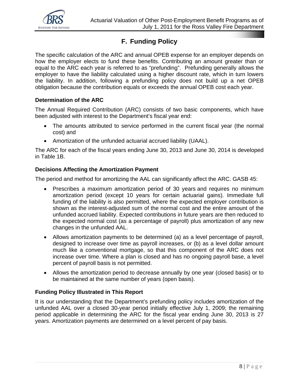

#### **F. Funding Policy**

The specific calculation of the ARC and annual OPEB expense for an employer depends on how the employer elects to fund these benefits. Contributing an amount greater than or equal to the ARC each year is referred to as "prefunding". Prefunding generally allows the employer to have the liability calculated using a higher discount rate, which in turn lowers the liability. In addition, following a prefunding policy does not build up a net OPEB obligation because the contribution equals or exceeds the annual OPEB cost each year.

#### **Determination of the ARC**

The Annual Required Contribution (ARC) consists of two basic components, which have been adjusted with interest to the Department's fiscal year end:

- The amounts attributed to service performed in the current fiscal year (the normal cost) and
- Amortization of the unfunded actuarial accrued liability (UAAL).

The ARC for each of the fiscal years ending June 30, 2013 and June 30, 2014 is developed in Table 1B.

#### **Decisions Affecting the Amortization Payment**

The period and method for amortizing the AAL can significantly affect the ARC. GASB 45:

- Prescribes a maximum amortization period of 30 years and requires no minimum amortization period (except 10 years for certain actuarial gains). Immediate full funding of the liability is also permitted, where the expected employer contribution is shown as the interest-adjusted sum of the normal cost and the entire amount of the unfunded accrued liability. Expected contributions in future years are then reduced to the expected normal cost (as a percentage of payroll) plus amortization of any new changes in the unfunded AAL.
- Allows amortization payments to be determined (a) as a level percentage of payroll, designed to increase over time as payroll increases, or (b) as a level dollar amount much like a conventional mortgage, so that this component of the ARC does not increase over time. Where a plan is closed and has no ongoing payroll base, a level percent of payroll basis is not permitted.
- Allows the amortization period to decrease annually by one year (closed basis) or to be maintained at the same number of years (open basis).

#### **Funding Policy Illustrated in This Report**

It is our understanding that the Department's prefunding policy includes amortization of the unfunded AAL over a closed 30-year period initially effective July 1, 2009; the remaining period applicable in determining the ARC for the fiscal year ending June 30, 2013 is 27 years. Amortization payments are determined on a level percent of pay basis.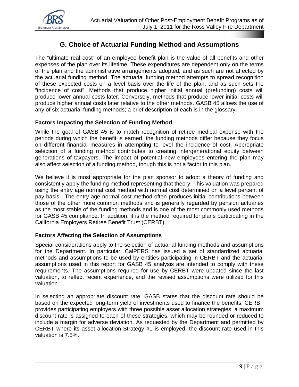

#### **G. Choice of Actuarial Funding Method and Assumptions**

The "ultimate real cost" of an employee benefit plan is the value of all benefits and other expenses of the plan over its lifetime. These expenditures are dependent only on the terms of the plan and the administrative arrangements adopted, and as such are not affected by the actuarial funding method. The actuarial funding method attempts to spread recognition of these expected costs on a level basis over the life of the plan, and as such sets the "incidence of cost". Methods that produce higher initial annual (prefunding) costs will produce lower annual costs later. Conversely, methods that produce lower initial costs will produce higher annual costs later relative to the other methods. GASB 45 allows the use of any of six actuarial funding methods; a brief description of each is in the glossary.

#### **Factors Impacting the Selection of Funding Method**

While the goal of GASB 45 is to match recognition of retiree medical expense with the periods during which the benefit is earned, the funding methods differ because they focus on different financial measures in attempting to level the incidence of cost. Appropriate selection of a funding method contributes to creating intergenerational equity between generations of taxpayers. The impact of potential new employees entering the plan may also affect selection of a funding method, though this is not a factor in this plan.

We believe it is most appropriate for the plan sponsor to adopt a theory of funding and consistently apply the funding method representing that theory. This valuation was prepared using the entry age normal cost method with normal cost determined on a level percent of pay basis. The entry age normal cost method often produces initial contributions between those of the other more common methods and is generally regarded by pension actuaries as the most stable of the funding methods and is one of the most commonly used methods for GASB 45 compliance. In addition, it is the method required for plans participating in the California Employers Retiree Benefit Trust (CERBT).

#### **Factors Affecting the Selection of Assumptions**

Special considerations apply to the selection of actuarial funding methods and assumptions for the Department. In particular, CalPERS has issued a set of standardized actuarial methods and assumptions to be used by entities participating in CERBT and the actuarial assumptions used in this report for GASB 45 analysis are intended to comply with these requirements. The assumptions required for use by CERBT were updated since the last valuation, to reflect recent experience, and the revised assumptions were utilized for this valuation.

In selecting an appropriate discount rate, GASB states that the discount rate should be based on the expected long-term yield of investments used to finance the benefits. CERBT provides participating employers with three possible asset allocation strategies; a maximum discount rate is assigned to each of these strategies, which may be rounded or reduced to include a margin for adverse deviation. As requested by the Department and permitted by CERBT where its asset allocation Strategy #1 is employed, the discount rate used in this valuation is 7.5%.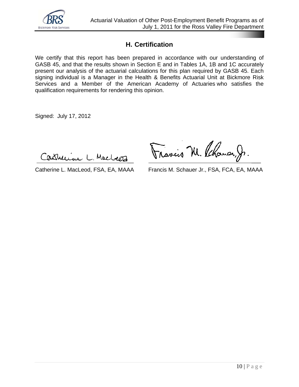

#### **H. Certification**

We certify that this report has been prepared in accordance with our understanding of GASB 45, and that the results shown in Section E and in Tables 1A, 1B and 1C accurately present our analysis of the actuarial calculations for this plan required by GASB 45. Each signing individual is a Manager in the Health & Benefits Actuarial Unit at Bickmore Risk Services and a Member of the American Academy of Actuaries who satisfies the qualification requirements for rendering this opinion.

Signed: July 17, 2012

Costruine L. Macleo

Fravis M. Rhauer, Jr

Catherine L. MacLeod, FSA, EA, MAAA Francis M. Schauer Jr., FSA, FCA, EA, MAAA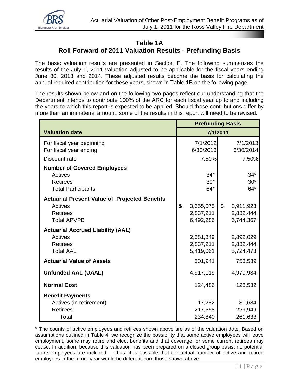

#### **Table 1A**

#### **Roll Forward of 2011 Valuation Results - Prefunding Basis**

The basic valuation results are presented in Section E. The following summarizes the results of the July 1, 2011 valuation adjusted to be applicable for the fiscal years ending June 30, 2013 and 2014. These adjusted results become the basis for calculating the annual required contribution for these years, shown in Table 1B on the following page.

The results shown below and on the following two pages reflect our understanding that the Department intends to contribute 100% of the ARC for each fiscal year up to and including the years to which this report is expected to be applied. Should those contributions differ by more than an immaterial amount, some of the results in this report will need to be revised.

| <b>Valuation date</b>                                                                                    |    | <b>Prefunding Basis</b>             |    |                                     |  |
|----------------------------------------------------------------------------------------------------------|----|-------------------------------------|----|-------------------------------------|--|
|                                                                                                          |    | 7/1/2011                            |    |                                     |  |
| For fiscal year beginning<br>For fiscal year ending                                                      |    | 7/1/2012<br>6/30/2013               |    | 7/1/2013<br>6/30/2014               |  |
| Discount rate                                                                                            |    | 7.50%                               |    | 7.50%                               |  |
| <b>Number of Covered Employees</b><br>Actives<br><b>Retirees</b><br><b>Total Participants</b>            |    | $34*$<br>$30*$<br>$64*$             |    | $34*$<br>$30*$<br>$64*$             |  |
| <b>Actuarial Present Value of Projected Benefits</b><br>Actives<br><b>Retirees</b><br><b>Total APVPB</b> | \$ | 3,655,075<br>2,837,211<br>6,492,286 | \$ | 3,911,923<br>2,832,444<br>6,744,367 |  |
| <b>Actuarial Accrued Liability (AAL)</b><br>Actives<br><b>Retirees</b><br><b>Total AAL</b>               |    | 2,581,849<br>2,837,211<br>5,419,061 |    | 2,892,029<br>2,832,444<br>5,724,473 |  |
| <b>Actuarial Value of Assets</b>                                                                         |    | 501,941                             |    | 753,539                             |  |
| <b>Unfunded AAL (UAAL)</b>                                                                               |    | 4,917,119                           |    | 4,970,934                           |  |
| <b>Normal Cost</b>                                                                                       |    | 124,486                             |    | 128,532                             |  |
| <b>Benefit Payments</b><br>Actives (in retirement)<br><b>Retirees</b><br><b>Total</b>                    |    | 17,282<br>217,558<br>234,840        |    | 31,684<br>229,949<br>261,633        |  |

\* The counts of active employees and retirees shown above are as of the valuation date. Based on assumptions outlined in Table 4, we recognize the possibility that some active employees will leave employment, some may retire and elect benefits and that coverage for some current retirees may cease. In addition, because this valuation has been prepared on a closed group basis, no potential future employees are included. Thus, it is possible that the actual number of active and retired employees in the future year would be different from those shown above.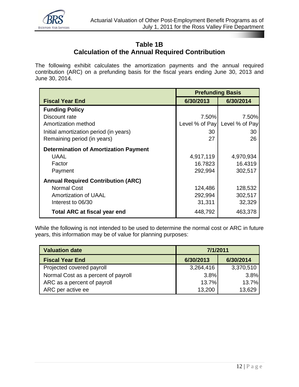

#### **Table 1B**

#### **Calculation of the Annual Required Contribution**

The following exhibit calculates the amortization payments and the annual required contribution (ARC) on a prefunding basis for the fiscal years ending June 30, 2013 and June 30, 2014.

|                                              | <b>Prefunding Basis</b> |                |  |
|----------------------------------------------|-------------------------|----------------|--|
| <b>Fiscal Year End</b>                       | 6/30/2013               | 6/30/2014      |  |
| <b>Funding Policy</b>                        |                         |                |  |
| Discount rate                                | 7.50%                   | 7.50%          |  |
| Amortization method                          | Level % of Pay          | Level % of Pay |  |
| Initial amortization period (in years)       | 30                      | 30             |  |
| Remaining period (in years)                  | 27                      | 26             |  |
| <b>Determination of Amortization Payment</b> |                         |                |  |
| <b>UAAL</b>                                  | 4,917,119               | 4,970,934      |  |
| Factor                                       | 16.7823                 | 16.4319        |  |
| Payment                                      | 292,994                 | 302,517        |  |
| <b>Annual Required Contribution (ARC)</b>    |                         |                |  |
| <b>Normal Cost</b>                           | 124,486                 | 128,532        |  |
| Amortization of UAAL                         | 292,994                 | 302,517        |  |
| Interest to 06/30                            | 31,311                  | 32,329         |  |
| <b>Total ARC at fiscal year end</b>          | 448,792                 | 463,378        |  |

While the following is not intended to be used to determine the normal cost or ARC in future years, this information may be of value for planning purposes:

| <b>Valuation date</b>               | 7/1/2011  |           |  |  |
|-------------------------------------|-----------|-----------|--|--|
| <b>Fiscal Year End</b>              | 6/30/2013 | 6/30/2014 |  |  |
| Projected covered payroll           | 3,264,416 | 3,370,510 |  |  |
| Normal Cost as a percent of payroll | 3.8%      | 3.8%      |  |  |
| ARC as a percent of payroll         | 13.7%     | 13.7%     |  |  |
| ARC per active ee                   | 13,200    | 13,629    |  |  |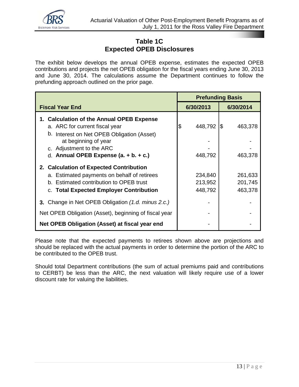

#### **Table 1C Expected OPEB Disclosures**

The exhibit below develops the annual OPEB expense, estimates the expected OPEB contributions and projects the net OPEB obligation for the fiscal years ending June 30, 2013 and June 30, 2014. The calculations assume the Department continues to follow the prefunding approach outlined on the prior page.

|                                                                                                                                                                                                                          |                               | <b>Prefunding Basis</b>       |
|--------------------------------------------------------------------------------------------------------------------------------------------------------------------------------------------------------------------------|-------------------------------|-------------------------------|
| <b>Fiscal Year End</b>                                                                                                                                                                                                   | 6/30/2013                     | 6/30/2014                     |
| 1. Calculation of the Annual OPEB Expense<br>a. ARC for current fiscal year<br>b. Interest on Net OPEB Obligation (Asset)<br>at beginning of year<br>c. Adjustment to the ARC<br>d. Annual OPEB Expense $(a. + b. + c.)$ | \$<br>448,792<br>448,792      | 463,378<br>l\$<br>463,378     |
| 2. Calculation of Expected Contribution<br>a. Estimated payments on behalf of retirees<br>b. Estimated contribution to OPEB trust<br>c. Total Expected Employer Contribution                                             | 234,840<br>213,952<br>448,792 | 261,633<br>201,745<br>463,378 |
| 3. Change in Net OPEB Obligation (1.d. minus 2.c.)<br>Net OPEB Obligation (Asset), beginning of fiscal year                                                                                                              |                               |                               |
| Net OPEB Obligation (Asset) at fiscal year end                                                                                                                                                                           |                               |                               |

Please note that the expected payments to retirees shown above are projections and should be replaced with the actual payments in order to determine the portion of the ARC to be contributed to the OPEB trust.

Should total Department contributions (the sum of actual premiums paid and contributions to CERBT) be less than the ARC, the next valuation will likely require use of a lower discount rate for valuing the liabilities.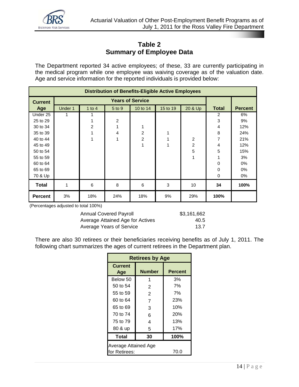

#### **Table 2 Summary of Employee Data**

The Department reported 34 active employees; of these, 33 are currently participating in the medical program while one employee was waiving coverage as of the valuation date. Age and service information for the reported individuals is provided below:

| <b>Distribution of Benefits-Eligible Active Employees</b> |                         |                |        |                |          |                  |              |                |
|-----------------------------------------------------------|-------------------------|----------------|--------|----------------|----------|------------------|--------------|----------------|
| <b>Current</b>                                            | <b>Years of Service</b> |                |        |                |          |                  |              |                |
| Age                                                       | Under 1                 | 1 to $4$       | 5 to 9 | 10 to 14       | 15 to 19 | 20 & Up          | <b>Total</b> | <b>Percent</b> |
| Under 25                                                  | 1                       |                |        |                |          |                  | 2            | 6%             |
| 25 to 29                                                  |                         |                | 2      |                |          |                  | 3            | 9%             |
| 30 to 34                                                  |                         | $\overline{c}$ | 1      | 1              |          |                  | 4            | 12%            |
| 35 to 39                                                  |                         |                | 4      | $\overline{c}$ | 1        |                  | 8            | 24%            |
| 40 to 44                                                  |                         |                | 1      | 2              | 1        | $\overline{c}$   | 7            | 21%            |
| 45 to 49                                                  |                         |                |        |                | 1        | $\boldsymbol{2}$ | 4            | 12%            |
| 50 to 54                                                  |                         |                |        |                |          | 5                | 5            | 15%            |
| 55 to 59                                                  |                         |                |        |                |          | 1                |              | 3%             |
| 60 to 64                                                  |                         |                |        |                |          |                  | 0            | 0%             |
| 65 to 69                                                  |                         |                |        |                |          |                  | 0            | 0%             |
| 70 & Up                                                   |                         |                |        |                |          |                  | 0            | $0\%$          |
| <b>Total</b>                                              | 1                       | 6              | 8      | 6              | 3        | 10               | 34           | 100%           |
| <b>Percent</b>                                            | 3%                      | 18%            | 24%    | 18%            | 9%       | 29%              | 100%         |                |

(Percentages adjusted to total 100%)

| <b>Annual Covered Payroll</b>    | \$3,161,662 |
|----------------------------------|-------------|
| Average Attained Age for Actives | 40.5        |
| Average Years of Service         | 13.7        |

\$3,161,662

There are also 30 retirees or their beneficiaries receiving benefits as of July 1, 2011. The following chart summarizes the ages of current retirees in the Department plan.

| <b>Retirees by Age</b> |                |                |  |  |  |
|------------------------|----------------|----------------|--|--|--|
| <b>Current</b><br>Age  | Number         | <b>Percent</b> |  |  |  |
| Below 50               | 1              | 3%             |  |  |  |
| 50 to 54               | $\overline{2}$ | 7%             |  |  |  |
| 55 to 59               | $\overline{2}$ | 7%             |  |  |  |
| 60 to 64               | $\overline{7}$ | 23%            |  |  |  |
| 65 to 69               | 3              | 10%            |  |  |  |
| 70 to 74               | 6              | 20%            |  |  |  |
| 75 to 79               | 4              | 13%            |  |  |  |
| 80 & up                | 5              | 17%            |  |  |  |
| Total                  | 30             | 100%           |  |  |  |
| Average Attained Age   |                |                |  |  |  |
| for Retirees:          |                | 70.0           |  |  |  |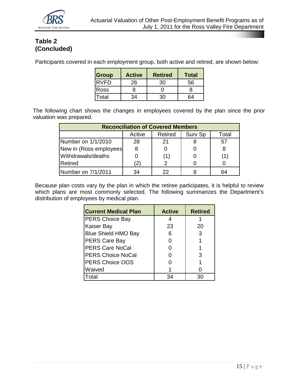

#### **Table 2 (Concluded)**

Participants covered in each employment group, both active and retired, are shown below:

| Group | <b>Active</b> | <b>Retired</b> | <b>Total</b> |
|-------|---------------|----------------|--------------|
| RVFD  | 26            | ۹Λ             | 56           |
| Ross  |               |                |              |
| Гоtal | 34            | 36             |              |

The following chart shows the changes in employees covered by the plan since the prior valuation was prepared.

| <b>Reconciliation of Covered Members</b> |    |    |  |    |  |  |  |
|------------------------------------------|----|----|--|----|--|--|--|
| Retired<br>Surv Sp<br>Active<br>Total    |    |    |  |    |  |  |  |
| Number on 1/1/2010                       | 28 | 21 |  | 57 |  |  |  |
| New in (Ross employees                   | 8  |    |  |    |  |  |  |
| Withdrawals/deaths                       |    |    |  |    |  |  |  |
| <b>Retired</b>                           |    | 2  |  |    |  |  |  |
| Number on 7/1/2011                       | 34 | 22 |  | 64 |  |  |  |

Because plan costs vary by the plan in which the retiree participates, it is helpful to review which plans are most commonly selected. The following summarizes the Department's distribution of employees by medical plan.

| <b>Current Medical Plan</b> | <b>Active</b> | <b>Retired</b> |
|-----------------------------|---------------|----------------|
| <b>PERS Choice Bay</b>      |               |                |
| <b>Kaiser Bay</b>           | 23            | 20             |
| <b>Blue Shield HMO Bay</b>  |               | 3              |
| <b>PERS Care Bay</b>        |               |                |
| <b>PERS Care NoCal</b>      |               |                |
| <b>PERS Choice NoCal</b>    |               | 3              |
| <b>PERS Choice OOS</b>      |               |                |
| Waived                      |               |                |
| ʻotal                       |               |                |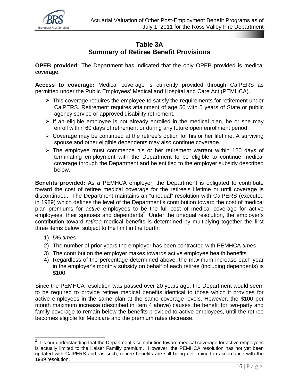

#### **Table 3A Summary of Retiree Benefit Provisions**

**OPEB provided:** The Department has indicated that the only OPEB provided is medical coverage.

**Access to coverage:** Medical coverage is currently provided through CalPERS as permitted under the Public Employees' Medical and Hospital and Care Act (PEMHCA).

- $\triangleright$  This coverage requires the employee to satisfy the requirements for retirement under CalPERS. Retirement requires attainment of age 50 with 5 years of State or public agency service or approved disability retirement.
- $\triangleright$  If an eligible employee is not already enrolled in the medical plan, he or she may enroll within 60 days of retirement or during any future open enrollment period.
- $\triangleright$  Coverage may be continued at the retiree's option for his or her lifetime. A surviving spouse and other eligible dependents may also continue coverage.
- $\triangleright$  The employee must commence his or her retirement warrant within 120 days of terminating employment with the Department to be eligible to continue medical coverage through the Department and be entitled to the employer subsidy described below.

**Benefits provided:** As a PEMHCA employer, the Department is obligated to contribute toward the cost of retiree medical coverage for the retiree's lifetime or until coverage is discontinued. The Department maintains an "unequal" resolution with CalPERS (executed in 1989) which defines the level of the Department's contribution toward the cost of medical plan premiums for *active* employees to be the full cost of medical coverage for active  $\epsilon$  employees, their spouses and dependents<sup>2</sup>. Under the unequal resolution, the employer's contribution toward *retiree* medical benefits is determined by multiplying together the first three items below, subject to the limit in the fourth:

- 1) 5% *times*
- 2) The number of prior years the employer has been contracted with PEMHCA *times*
- 3) The contribution the employer makes towards active employee health benefits
- 4) Regardless of the percentage determined above, the maximum increase each year in the employer's monthly subsidy on behalf of each retiree (including dependents) is \$100.

Since the PEMHCA resolution was passed over 20 years ago, the Department would seem to be required to provide retiree medical benefits identical to those which it provides for active employees in the same plan at the same coverage levels. However, the \$100 per month maximum increase (described in item 4 above) causes the benefit for two-party and family coverage to remain below the benefits provided to active employees, until the retiree becomes eligible for Medicare and the premium rates decrease.

 2 It is our understanding that the Department's contribution toward medical coverage for active employees is actually limited to the Kaiser Familiy premium. However, the PEMHCA resolution has not yet been updated with CalPERS and, as such, retiree benefits are still being determined in accordance with the 1989 resolution.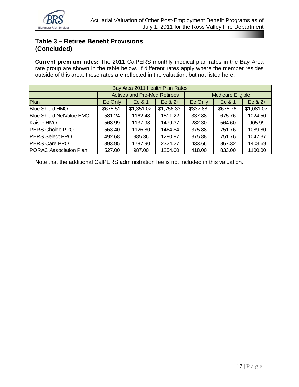

#### **Table 3 – Retiree Benefit Provisions (Concluded)**

**Current premium rates:** The 2011 CalPERS monthly medical plan rates in the Bay Area rate group are shown in the table below. If different rates apply where the member resides outside of this area, those rates are reflected in the valuation, but not listed here.

| Bay Area 2011 Health Plan Rates |          |                                     |            |                          |          |            |  |  |
|---------------------------------|----------|-------------------------------------|------------|--------------------------|----------|------------|--|--|
|                                 |          | <b>Actives and Pre-Med Retirees</b> |            | <b>Medicare Eligible</b> |          |            |  |  |
| Plan                            | Ee Only  | Ee & 1                              | Ee $& 2+$  | Ee Only                  | Ee & 1   | Ee & 2+    |  |  |
| <b>Blue Shield HMO</b>          | \$675.51 | \$1,351.02                          | \$1,756.33 | \$337.88                 | \$675.76 | \$1,081.07 |  |  |
| <b>Blue Shield NetValue HMO</b> | 581.24   | 1162.48                             | 1511.22    | 337.88                   | 675.76   | 1024.50    |  |  |
| Kaiser HMO                      | 568.99   | 1137.98                             | 1479.37    | 282.30                   | 564.60   | 905.99     |  |  |
| <b>PERS Choice PPO</b>          | 563.40   | 1126.80                             | 1464.84    | 375.88                   | 751.76   | 1089.80    |  |  |
| <b>PERS Select PPO</b>          | 492.68   | 985.36                              | 1280.97    | 375.88                   | 751.76   | 1047.37    |  |  |
| <b>PERS Care PPO</b>            | 893.95   | 1787.90                             | 2324.27    | 433.66                   | 867.32   | 1403.69    |  |  |
| <b>PORAC Association Plan</b>   | 527.00   | 987.00                              | 1254.00    | 418.00                   | 833.00   | 1100.00    |  |  |

Note that the additional CalPERS administration fee is not included in this valuation.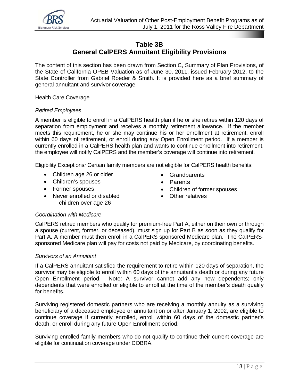

#### **Table 3B**

### **General CalPERS Annuitant Eligibility Provisions**

The content of this section has been drawn from Section C, Summary of Plan Provisions, of the State of California OPEB Valuation as of June 30, 2011, issued February 2012, to the State Controller from Gabriel Roeder & Smith. It is provided here as a brief summary of general annuitant and survivor coverage.

#### Health Care Coverage

#### *Retired Employees*

A member is eligible to enroll in a CalPERS health plan if he or she retires within 120 days of separation from employment and receives a monthly retirement allowance. If the member meets this requirement, he or she may continue his or her enrollment at retirement, enroll within 60 days of retirement, or enroll during any Open Enrollment period. If a member is currently enrolled in a CalPERS health plan and wants to continue enrollment into retirement, the employee will notify CalPERS and the member's coverage will continue into retirement.

Eligibility Exceptions*:* Certain family members are not eligible for CalPERS health benefits:

- Children age 26 or older
- Children's spouses
- Former spouses
- Never enrolled or disabled children over age 26
- Grandparents
- Parents
- Children of former spouses
- Other relatives

#### *Coordination with Medicare*

CalPERS retired members who qualify for premium-free Part A, either on their own or through a spouse (current, former, or deceased), must sign up for Part B as soon as they qualify for Part A. A member must then enroll in a CalPERS sponsored Medicare plan. The CalPERSsponsored Medicare plan will pay for costs not paid by Medicare, by coordinating benefits.

#### *Survivors of an Annuitant*

If a CalPERS annuitant satisfied the requirement to retire within 120 days of separation, the survivor may be eligible to enroll within 60 days of the annuitant's death or during any future Open Enrollment period. Note: A survivor cannot add any new dependents; only dependents that were enrolled or eligible to enroll at the time of the member's death qualify for benefits.

Surviving registered domestic partners who are receiving a monthly annuity as a surviving beneficiary of a deceased employee or annuitant on or after January 1, 2002, are eligible to continue coverage if currently enrolled, enroll within 60 days of the domestic partner's death, or enroll during any future Open Enrollment period.

Surviving enrolled family members who do not qualify to continue their current coverage are eligible for continuation coverage under COBRA.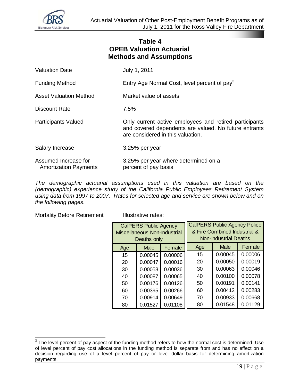

#### **Table 4 OPEB Valuation Actuarial Methods and Assumptions**

| <b>Valuation Date</b>                                | July 1, 2011                                                                                                                                         |
|------------------------------------------------------|------------------------------------------------------------------------------------------------------------------------------------------------------|
| <b>Funding Method</b>                                | Entry Age Normal Cost, level percent of pay <sup>3</sup>                                                                                             |
| <b>Asset Valuation Method</b>                        | Market value of assets                                                                                                                               |
| Discount Rate                                        | 7.5%                                                                                                                                                 |
| <b>Participants Valued</b>                           | Only current active employees and retired participants<br>and covered dependents are valued. No future entrants<br>are considered in this valuation. |
| Salary Increase                                      | 3.25% per year                                                                                                                                       |
| Assumed Increase for<br><b>Amortization Payments</b> | 3.25% per year where determined on a<br>percent of pay basis                                                                                         |

*The demographic actuarial assumptions used in this valuation are based on the (demographic) experience study of the California Public Employees Retirement System using data from 1997 to 2007. Rates for selected age and service are shown below and on the following pages.* 

Mortality Before Retirement Illustrative rates:

| <b>CalPERS Public Agency</b><br><b>Miscellaneous Non-Industrial</b><br>Deaths only |         |         | <b>CalPERS Public Agency Police</b><br>& Fire Combined Industrial &<br><b>Non-Industrial Deaths</b> |         |         |
|------------------------------------------------------------------------------------|---------|---------|-----------------------------------------------------------------------------------------------------|---------|---------|
| Age                                                                                | Male    | Female  | Age                                                                                                 | Male    | Female  |
| 15                                                                                 | 0.00045 | 0.00006 | 15                                                                                                  | 0.00045 | 0.00006 |
| 20                                                                                 | 0.00047 | 0.00016 | 20                                                                                                  | 0.00050 | 0.00019 |
| 30                                                                                 | 0.00053 | 0.00036 | 30                                                                                                  | 0.00063 | 0.00046 |
| 40                                                                                 | 0.00087 | 0.00065 | 40                                                                                                  | 0.00100 | 0.00078 |
| 50                                                                                 | 0.00176 | 0.00126 | 50                                                                                                  | 0.00191 | 0.00141 |
| 60                                                                                 | 0.00395 | 0.00266 | 60                                                                                                  | 0.00412 | 0.00283 |
| 70                                                                                 | 0.00914 | 0.00649 | 70                                                                                                  | 0.00933 | 0.00668 |
| 80                                                                                 | 0.01527 | 0.01108 | 80                                                                                                  | 0.01548 | 0.01129 |

 3 The level percent of pay aspect of the funding method refers to how the normal cost is determined. Use of level percent of pay cost allocations in the funding method is separate from and has no effect on a decision regarding use of a level percent of pay or level dollar basis for determining amortization payments.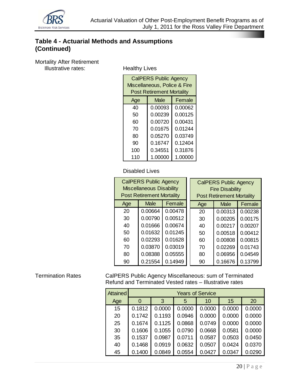

Mortality After Retirement

Illustrative rates: Healthy Lives

| <b>CalPERS Public Agency</b><br>Miscellaneous, Police & Fire<br><b>Post Retirement Mortality</b> |                    |         |  |  |  |  |
|--------------------------------------------------------------------------------------------------|--------------------|---------|--|--|--|--|
| Age                                                                                              | Male               | Female  |  |  |  |  |
| 40                                                                                               | 0.00093            | 0.00062 |  |  |  |  |
| 50                                                                                               | 0.00239            | 0.00125 |  |  |  |  |
| 60                                                                                               | 0.00720            | 0.00431 |  |  |  |  |
| 70                                                                                               | 0.01675            | 0.01244 |  |  |  |  |
| 80                                                                                               | 0.05270<br>0.03749 |         |  |  |  |  |
| 90                                                                                               | 0.12404<br>0.16747 |         |  |  |  |  |
| 100                                                                                              | 0.34551<br>0.31876 |         |  |  |  |  |
| 110                                                                                              | 1.00000            | 1.00000 |  |  |  |  |

Disabled Lives

| <b>CalPERS Public Agency</b><br><b>Miscellaneous Disability</b><br><b>Post Retirement Mortality</b> |         |         |     | <b>CalPERS Public Agency</b><br><b>Fire Disability</b><br><b>Post Retirement Mortality</b> |         |
|-----------------------------------------------------------------------------------------------------|---------|---------|-----|--------------------------------------------------------------------------------------------|---------|
| Age                                                                                                 | Male    | Female  | Age | Male                                                                                       | Female  |
| 20                                                                                                  | 0.00664 | 0.00478 | 20  | 0.00313                                                                                    | 0.00238 |
| 30                                                                                                  | 0.00790 | 0.00512 | 30  | 0.00205                                                                                    | 0.00175 |
| 40                                                                                                  | 0.01666 | 0.00674 | 40  | 0.00217                                                                                    | 0.00207 |
| 50                                                                                                  | 0.01632 | 0.01245 | 50  | 0.00518                                                                                    | 0.00412 |
| 60                                                                                                  | 0.02293 | 0.01628 | 60  | 0.00808                                                                                    | 0.00815 |
| 70                                                                                                  | 0.03870 | 0.03019 | 70  | 0.02269                                                                                    | 0.01743 |
| 80                                                                                                  | 0.08388 | 0.05555 | 80  | 0.06956                                                                                    | 0.04549 |
| 90                                                                                                  | 0.21554 | 0.14949 | 90  | 0.16676                                                                                    | 0.13799 |

Termination Rates CalPERS Public Agency Miscellaneous: sum of Terminated Refund and Terminated Vested rates – Illustrative rates

| Attained | <b>Years of Service</b> |        |        |        |        |        |  |
|----------|-------------------------|--------|--------|--------|--------|--------|--|
| Age      | 0                       | 3      | 5      | 10     | 15     | 20     |  |
| 15       | 0.1812                  | 0.0000 | 0.0000 | 0.0000 | 0.0000 | 0.0000 |  |
| 20       | 0.1742                  | 0.1193 | 0.0946 | 0.0000 | 0.0000 | 0.0000 |  |
| 25       | 0.1674                  | 0.1125 | 0.0868 | 0.0749 | 0.0000 | 0.0000 |  |
| 30       | 0.1606                  | 0.1055 | 0.0790 | 0.0668 | 0.0581 | 0.0000 |  |
| 35       | 0.1537                  | 0.0987 | 0.0711 | 0.0587 | 0.0503 | 0.0450 |  |
| 40       | 0.1468                  | 0.0919 | 0.0632 | 0.0507 | 0.0424 | 0.0370 |  |
| 45       | 0.1400                  | 0.0849 | 0.0554 | 0.0427 | 0.0347 | 0.0290 |  |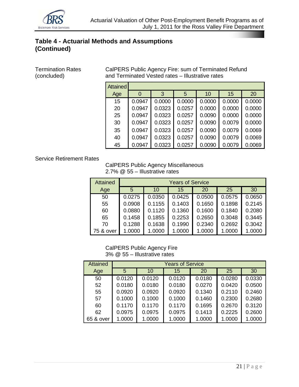

Termination Rates CalPERS Public Agency Fire: sum of Terminated Refund (concluded) and Terminated Vested rates – Illustrative rates

| Attained |        |        |        |        |        |        |
|----------|--------|--------|--------|--------|--------|--------|
| Age      | 0      | 3      | 5      | 10     | 15     | 20     |
| 15       | 0.0947 | 0.0000 | 0.0000 | 0.0000 | 0.0000 | 0.0000 |
| 20       | 0.0947 | 0.0323 | 0.0257 | 0.0000 | 0.0000 | 0.0000 |
| 25       | 0.0947 | 0.0323 | 0.0257 | 0.0090 | 0.0000 | 0.0000 |
| 30       | 0.0947 | 0.0323 | 0.0257 | 0.0090 | 0.0079 | 0.0000 |
| 35       | 0.0947 | 0.0323 | 0.0257 | 0.0090 | 0.0079 | 0.0069 |
| 40       | 0.0947 | 0.0323 | 0.0257 | 0.0090 | 0.0079 | 0.0069 |
| 45       | 0.0947 | 0.0323 | 0.0257 | 0.0090 | 0.0079 | 0.0069 |

#### Service Retirement Rates

CalPERS Public Agency Miscellaneous 2.7% @ 55 – Illustrative rates

| <b>Attained</b> | <b>Years of Service</b> |        |        |        |        |        |
|-----------------|-------------------------|--------|--------|--------|--------|--------|
| Age             | 5                       | 10     | 15     | 20     | 25     | 30     |
| 50              | 0.0275                  | 0.0350 | 0.0425 | 0.0500 | 0.0575 | 0.0650 |
| 55              | 0.0908                  | 0.1155 | 0.1403 | 0.1650 | 0.1898 | 0.2145 |
| 60              | 0.0880                  | 0.1120 | 0.1360 | 0.1600 | 0.1840 | 0.2080 |
| 65              | 0.1458                  | 0.1855 | 0.2253 | 0.2650 | 0.3048 | 0.3445 |
| 70              | 0.1288                  | 0.1638 | 0.1990 | 0.2340 | 0.2692 | 0.3042 |
| 75 & over       | 1.0000                  | 1.0000 | 1.0000 | 1.0000 | 1.0000 | 1.0000 |

#### CalPERS Public Agency Fire 3% @ 55 – Illustrative rates

| Attained  | <b>Years of Service</b> |        |        |        |        |        |  |
|-----------|-------------------------|--------|--------|--------|--------|--------|--|
| Age       | 5                       | 10     | 15     | 20     | 25     | 30     |  |
| 50        | 0.0120                  | 0.0120 | 0.0120 | 0.0180 | 0.0280 | 0.0330 |  |
| 52        | 0.0180                  | 0.0180 | 0.0180 | 0.0270 | 0.0420 | 0.0500 |  |
| 55        | 0.0920                  | 0.0920 | 0.0920 | 0.1340 | 0.2110 | 0.2460 |  |
| 57        | 0.1000                  | 0.1000 | 0.1000 | 0.1460 | 0.2300 | 0.2680 |  |
| 60        | 0.1170                  | 0.1170 | 0.1170 | 0.1695 | 0.2670 | 0.3120 |  |
| 62        | 0.0975                  | 0.0975 | 0.0975 | 0.1413 | 0.2225 | 0.2600 |  |
| 65 & over | 1.0000                  | 1.0000 | 1.0000 | 1.0000 | 1.0000 | 1.0000 |  |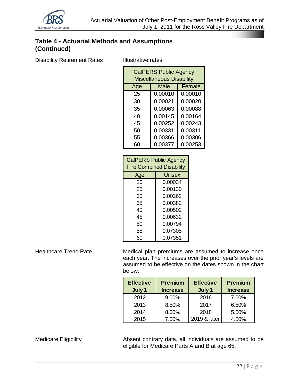

Disability Retirement Rates Illustrative rates:

| <b>CalPERS Public Agency</b><br><b>Miscellaneous Disability</b> |             |         |  |  |  |  |
|-----------------------------------------------------------------|-------------|---------|--|--|--|--|
| Age                                                             | <b>Male</b> | Female  |  |  |  |  |
| 25                                                              | 0.00010     | 0.00010 |  |  |  |  |
| 30                                                              | 0.00021     | 0.00020 |  |  |  |  |
| 35                                                              | 0.00063     | 0.00088 |  |  |  |  |
| 40                                                              | 0.00145     | 0.00164 |  |  |  |  |
| 45                                                              | 0.00252     | 0.00243 |  |  |  |  |
| 50                                                              | 0.00331     | 0.00311 |  |  |  |  |
| 55                                                              | 0.00366     | 0.00306 |  |  |  |  |
| 61                                                              | 0.00377     | 0.00253 |  |  |  |  |

| <b>CalPERS Public Agency</b><br><b>Fire Combined Disability</b> |         |  |  |  |
|-----------------------------------------------------------------|---------|--|--|--|
| Age                                                             | Unisex  |  |  |  |
| 20                                                              | 0.00034 |  |  |  |
| 25                                                              | 0.00130 |  |  |  |
| 30                                                              | 0.00262 |  |  |  |
| 35                                                              | 0.00382 |  |  |  |
| 40                                                              | 0.00502 |  |  |  |
| 45                                                              | 0.00632 |  |  |  |
| 0.00794<br>50                                                   |         |  |  |  |
| 0.07305<br>55                                                   |         |  |  |  |
| 60                                                              | 0.07351 |  |  |  |

Healthcare Trend Rate Medical plan premiums are assumed to increase once each year. The increases over the prior year's levels are assumed to be effective on the dates shown in the chart below:

| <b>Effective</b><br>July 1 | <b>Premium</b><br><b>Increase</b> | <b>Effective</b><br>July 1 | <b>Premium</b><br><b>Increase</b> |
|----------------------------|-----------------------------------|----------------------------|-----------------------------------|
| 2012                       | 9.00%                             | 2016                       | 7.00%                             |
| 2013                       | 8.50%                             | 2017                       | 6.50%                             |
| 2014                       | 8.00%                             | 2018                       | 5.50%                             |
| 2015                       | 7.50%                             | 2019 & later               | 4.50%                             |

Medicare Eligibility **Absent contrary data, all individuals are assumed to be** eligible for Medicare Parts A and B at age 65.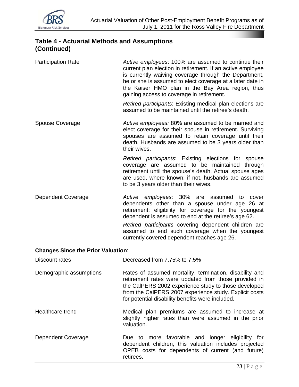

| <b>Participation Rate</b>                 | Active employees: 100% are assumed to continue their<br>current plan election in retirement. If an active employee<br>is currently waiving coverage through the Department,<br>he or she is assumed to elect coverage at a later date in<br>the Kaiser HMO plan in the Bay Area region, thus<br>gaining access to coverage in retirement.<br>Retired participants: Existing medical plan elections are<br>assumed to be maintained until the retiree's death. |  |  |  |  |
|-------------------------------------------|---------------------------------------------------------------------------------------------------------------------------------------------------------------------------------------------------------------------------------------------------------------------------------------------------------------------------------------------------------------------------------------------------------------------------------------------------------------|--|--|--|--|
| <b>Spouse Coverage</b>                    | Active employees: 80% are assumed to be married and<br>elect coverage for their spouse in retirement. Surviving<br>spouses are assumed to retain coverage until their<br>death. Husbands are assumed to be 3 years older than<br>their wives.                                                                                                                                                                                                                 |  |  |  |  |
|                                           | Retired participants: Existing elections for spouse<br>coverage are assumed to be maintained<br>through<br>retirement until the spouse's death. Actual spouse ages<br>are used, where known; if not, husbands are assumed<br>to be 3 years older than their wives.                                                                                                                                                                                            |  |  |  |  |
| <b>Dependent Coverage</b>                 | Active employees: 30% are<br>assumed to<br>cover<br>dependents other than a spouse under age 26 at<br>retirement; eligibility for coverage for the youngest<br>dependent is assumed to end at the retiree's age 62.<br>Retired participants covering dependent children are<br>assumed to end such coverage when the youngest<br>currently covered dependent reaches age 26.                                                                                  |  |  |  |  |
| <b>Changes Since the Prior Valuation:</b> |                                                                                                                                                                                                                                                                                                                                                                                                                                                               |  |  |  |  |
| Discount rates                            | Decreased from 7.75% to 7.5%                                                                                                                                                                                                                                                                                                                                                                                                                                  |  |  |  |  |
| Demographic assumptions                   | Rates of assumed mortality, termination, disability and<br>retirement rates were updated from those provided in<br>the CalPERS 2002 experience study to those developed<br>from the CalPERS 2007 experience study. Explicit costs<br>for potential disability benefits were included.                                                                                                                                                                         |  |  |  |  |
| <b>Healthcare trend</b>                   | Medical plan premiums are assumed to increase at<br>slightly higher rates than were assumed in the prior                                                                                                                                                                                                                                                                                                                                                      |  |  |  |  |

Dependent Coverage **Due to more favorable and longer eligibility for** dependent children, this valuation includes projected OPEB costs for dependents of current (and future) retirees.

valuation.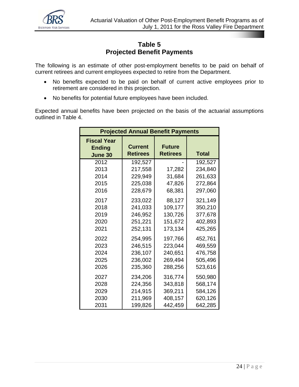

#### **Table 5 Projected Benefit Payments**

The following is an estimate of other post-employment benefits to be paid on behalf of current retirees and current employees expected to retire from the Department.

- No benefits expected to be paid on behalf of current active employees prior to retirement are considered in this projection.
- No benefits for potential future employees have been included.

Expected annual benefits have been projected on the basis of the actuarial assumptions outlined in Table 4.

| <b>Projected Annual Benefit Payments</b>       |                                                     |                                      |                                                     |  |  |
|------------------------------------------------|-----------------------------------------------------|--------------------------------------|-----------------------------------------------------|--|--|
| <b>Fiscal Year</b><br><b>Ending</b><br>June 30 | <b>Current</b><br><b>Retirees</b>                   | <b>Future</b><br><b>Retirees</b>     | <b>Total</b>                                        |  |  |
| 2012<br>2013<br>2014<br>2015<br>2016           | 192,527<br>217,558<br>229,949<br>225,038<br>228,679 | 17,282<br>31,684<br>47,826<br>68,381 | 192,527<br>234,840<br>261,633<br>272,864<br>297,060 |  |  |
| 2017                                           | 233,022                                             | 88,127                               | 321,149                                             |  |  |
| 2018                                           | 241,033                                             | 109,177                              | 350,210                                             |  |  |
| 2019                                           | 246,952                                             | 130,726                              | 377,678                                             |  |  |
| 2020                                           | 251,221                                             | 151,672                              | 402,893                                             |  |  |
| 2021                                           | 252,131                                             | 173,134                              | 425,265                                             |  |  |
| 2022                                           | 254,995                                             | 197,766                              | 452,761                                             |  |  |
| 2023                                           | 246,515                                             | 223,044                              | 469,559                                             |  |  |
| 2024                                           | 236,107                                             | 240,651                              | 476,758                                             |  |  |
| 2025                                           | 236,002                                             | 269,494                              | 505,496                                             |  |  |
| 2026                                           | 235,360                                             | 288,256                              | 523,616                                             |  |  |
| 2027                                           | 234,206                                             | 316,774                              | 550,980                                             |  |  |
| 2028                                           | 224,356                                             | 343,818                              | 568,174                                             |  |  |
| 2029                                           | 214,915                                             | 369,211                              | 584,126                                             |  |  |
| 2030                                           | 211,969                                             | 408,157                              | 620,126                                             |  |  |
| 2031                                           | 199,826                                             | 442,459                              | 642,285                                             |  |  |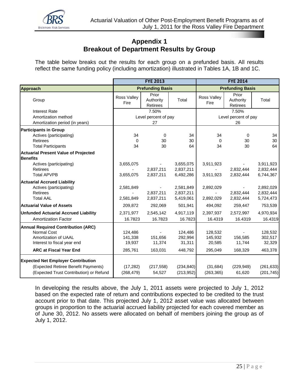

#### **Appendix 1 Breakout of Department Results by Group**

The table below breaks out the results for each group on a prefunded basis. All results reflect the same funding policy (including amortization) illustrated in Tables 1A, 1B and 1C.

|                                                                                                                                                  | <b>FYE 2013</b>                         |                                       |                                         | <b>FYE 2014</b>                         |                                |                                         |  |
|--------------------------------------------------------------------------------------------------------------------------------------------------|-----------------------------------------|---------------------------------------|-----------------------------------------|-----------------------------------------|--------------------------------|-----------------------------------------|--|
| <b>Approach</b>                                                                                                                                  | <b>Prefunding Basis</b>                 |                                       |                                         | <b>Prefunding Basis</b>                 |                                |                                         |  |
| Group                                                                                                                                            | Ross Valley<br>Fire                     | Prior<br>Authority<br><b>Retirees</b> | Total                                   | Ross Valley<br>Fire                     | Prior<br>Authority<br>Retirees | Total                                   |  |
| <b>Interest Rate</b>                                                                                                                             |                                         | 7.50%                                 |                                         | 7.50%                                   |                                |                                         |  |
| Amortization method                                                                                                                              | Level percent of pay                    |                                       |                                         | Level percent of pay                    |                                |                                         |  |
| Amortization period (in years)                                                                                                                   |                                         | 27                                    |                                         |                                         | 26                             |                                         |  |
| <b>Participants in Group</b>                                                                                                                     |                                         |                                       |                                         |                                         |                                |                                         |  |
| Actives (participating)                                                                                                                          | 34                                      | $\Omega$                              | 34                                      | 34                                      | $\Omega$                       | 34                                      |  |
| Retirees                                                                                                                                         | $\Omega$                                | 30                                    | 30                                      | $\Omega$                                | 30                             | 30                                      |  |
| <b>Total Participants</b>                                                                                                                        | 34                                      | 30                                    | 64                                      | 34                                      | 30                             | 64                                      |  |
| <b>Actuarial Present Value of Projected</b><br><b>Benefits</b>                                                                                   |                                         |                                       |                                         |                                         |                                |                                         |  |
| Actives (participating)                                                                                                                          | 3,655,075                               |                                       | 3,655,075                               | 3,911,923                               |                                | 3,911,923                               |  |
| Retirees                                                                                                                                         |                                         | 2,837,211                             | 2,837,211                               |                                         | 2,832,444                      | 2,832,444                               |  |
| <b>Total APVPB</b>                                                                                                                               | 3,655,075                               | 2,837,211                             | 6,492,286                               | 3,911,923                               | 2,832,444                      | 6,744,367                               |  |
| <b>Actuarial Accrued Liability</b><br>Actives (participating)<br>Retirees<br><b>Total AAL</b>                                                    | 2,581,849<br>2,581,849                  | 2,837,211<br>2,837,211                | 2,581,849<br>2,837,211<br>5,419,061     | 2,892,029<br>2,892,029                  | 2,832,444<br>2,832,444         | 2,892,029<br>2,832,444<br>5,724,473     |  |
| <b>Actuarial Value of Assets</b>                                                                                                                 | 209,872                                 | 292,069                               | 501,941                                 | 494,092                                 | 259,447                        | 753,539                                 |  |
| <b>Unfunded Actuarial Accrued Liability</b><br><b>Amortization Factor</b>                                                                        | 2,371,977<br>16.7823                    | 2,545,142<br>16.7823                  | 4,917,119<br>16.7823                    | 2,397,937<br>16.4319                    | 2,572,997<br>16.4319           | 4,970,934<br>16.4319                    |  |
| <b>Annual Required Contribution (ARC)</b><br>Normal Cost<br>Amortization of UAAL<br>Interest to fiscal year end<br><b>ARC at Fiscal Year End</b> | 124,486<br>141,338<br>19,937<br>285,761 | 151,656<br>11,374<br>163,031          | 124,486<br>292,994<br>31,311<br>448,792 | 128,532<br>145,932<br>20,585<br>295,049 | 156,585<br>11,744<br>168,329   | 128,532<br>302,517<br>32,329<br>463,378 |  |
| <b>Expected Net Employer Contribution</b><br>(Expected Retiree Benefit Payments)<br>(Expected Trust Contribution) or Refund                      | (17, 282)<br>(268, 479)                 | (217, 558)<br>54,527                  | (234, 840)<br>(213,952)                 | (31, 684)<br>(263, 365)                 | (229, 949)<br>61,620           | (261, 633)<br>(201, 745)                |  |

In developing the results above, the July 1, 2011 assets were projected to July 1, 2012 based on the expected rate of return and contributions expected to be credited to the trust account prior to that date. This projected July 1, 2012 asset value was allocated between groups in proportion to the actuarial accrued liability projected for each covered member as of June 30, 2012. No assets were allocated on behalf of members joining the group as of July 1, 2012.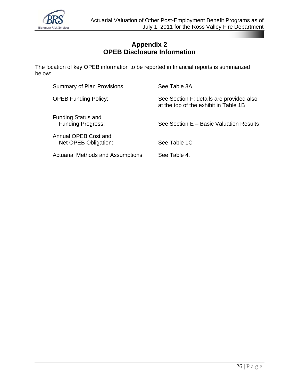

#### **Appendix 2 OPEB Disclosure Information**

The location of key OPEB information to be reported in financial reports is summarized below:

| <b>Summary of Plan Provisions:</b>                    | See Table 3A                                                                      |
|-------------------------------------------------------|-----------------------------------------------------------------------------------|
| <b>OPEB Funding Policy:</b>                           | See Section F; details are provided also<br>at the top of the exhibit in Table 1B |
| <b>Funding Status and</b><br><b>Funding Progress:</b> | See Section E – Basic Valuation Results                                           |
| Annual OPEB Cost and<br>Net OPEB Obligation:          | See Table 1C                                                                      |
| <b>Actuarial Methods and Assumptions:</b>             | See Table 4.                                                                      |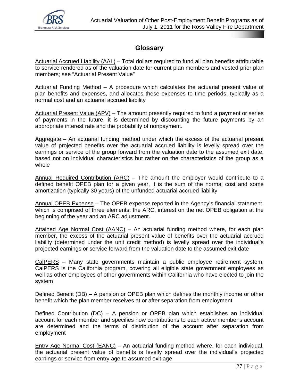

#### **Glossary**

Actuarial Accrued Liability (AAL) – Total dollars required to fund all plan benefits attributable to service rendered as of the valuation date for current plan members and vested prior plan members; see "Actuarial Present Value"

Actuarial Funding Method – A procedure which calculates the actuarial present value of plan benefits and expenses, and allocates these expenses to time periods, typically as a normal cost and an actuarial accrued liability

Actuarial Present Value (APV) – The amount presently required to fund a payment or series of payments in the future, it is determined by discounting the future payments by an appropriate interest rate and the probability of nonpayment.

Aggregate – An actuarial funding method under which the excess of the actuarial present value of projected benefits over the actuarial accrued liability is levelly spread over the earnings or service of the group forward from the valuation date to the assumed exit date, based not on individual characteristics but rather on the characteristics of the group as a whole

Annual Required Contribution (ARC) - The amount the employer would contribute to a defined benefit OPEB plan for a given year, it is the sum of the normal cost and some amortization (typically 30 years) of the unfunded actuarial accrued liability

Annual OPEB Expense – The OPEB expense reported in the Agency's financial statement, which is comprised of three elements: the ARC, interest on the net OPEB obligation at the beginning of the year and an ARC adjustment.

Attained Age Normal Cost (AANC) – An actuarial funding method where, for each plan member, the excess of the actuarial present value of benefits over the actuarial accrued liability (determined under the unit credit method) is levelly spread over the individual's projected earnings or service forward from the valuation date to the assumed exit date

CalPERS - Many state governments maintain a public employee retirement system; CalPERS is the California program, covering all eligible state government employees as well as other employees of other governments within California who have elected to join the system

Defined Benefit (DB) – A pension or OPEB plan which defines the monthly income or other benefit which the plan member receives at or after separation from employment

Defined Contribution  $(DC)$  – A pension or OPEB plan which establishes an individual account for each member and specifies how contributions to each active member's account are determined and the terms of distribution of the account after separation from employment

Entry Age Normal Cost (EANC) – An actuarial funding method where, for each individual, the actuarial present value of benefits is levelly spread over the individual's projected earnings or service from entry age to assumed exit age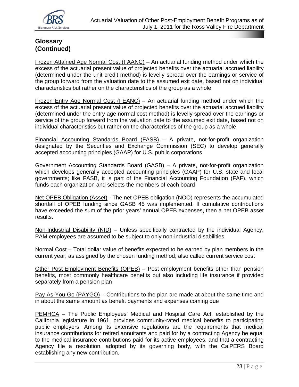

#### **Glossary (Continued)**

Frozen Attained Age Normal Cost (FAANC) – An actuarial funding method under which the excess of the actuarial present value of projected benefits over the actuarial accrued liability (determined under the unit credit method) is levelly spread over the earnings or service of the group forward from the valuation date to the assumed exit date, based not on individual characteristics but rather on the characteristics of the group as a whole

Frozen Entry Age Normal Cost (FEANC) – An actuarial funding method under which the excess of the actuarial present value of projected benefits over the actuarial accrued liability (determined under the entry age normal cost method) is levelly spread over the earnings or service of the group forward from the valuation date to the assumed exit date, based not on individual characteristics but rather on the characteristics of the group as a whole

Financial Accounting Standards Board (FASB) – A private, not-for-profit organization designated by the Securities and Exchange Commission (SEC) to develop generally accepted accounting principles (GAAP) for U.S. public corporations

Government Accounting Standards Board (GASB) – A private, not-for-profit organization which develops generally accepted accounting principles (GAAP) for U.S. state and local governments; like FASB, it is part of the Financial Accounting Foundation (FAF), which funds each organization and selects the members of each board

Net OPEB Obligation (Asset) - The net OPEB obligation (NOO) represents the accumulated shortfall of OPEB funding since GASB 45 was implemented. If cumulative contributions have exceeded the sum of the prior years' annual OPEB expenses, then a net OPEB asset results.

Non-Industrial Disability (NID) – Unless specifically contracted by the individual Agency, PAM employees are assumed to be subject to only non-industrial disabilities.

Normal Cost – Total dollar value of benefits expected to be earned by plan members in the current year, as assigned by the chosen funding method; also called current service cost

Other Post-Employment Benefits (OPEB) – Post-employment benefits other than pension benefits, most commonly healthcare benefits but also including life insurance if provided separately from a pension plan

Pay-As-You-Go (PAYGO) – Contributions to the plan are made at about the same time and in about the same amount as benefit payments and expenses coming due

PEMHCA – The Public Employees' Medical and Hospital Care Act, established by the California legislature in 1961, provides community-rated medical benefits to participating public employers. Among its extensive regulations are the requirements that medical insurance contributions for retired annuitants and paid for by a contracting Agency be equal to the medical insurance contributions paid for its active employees, and that a contracting Agency file a resolution, adopted by its governing body, with the CalPERS Board establishing any new contribution.